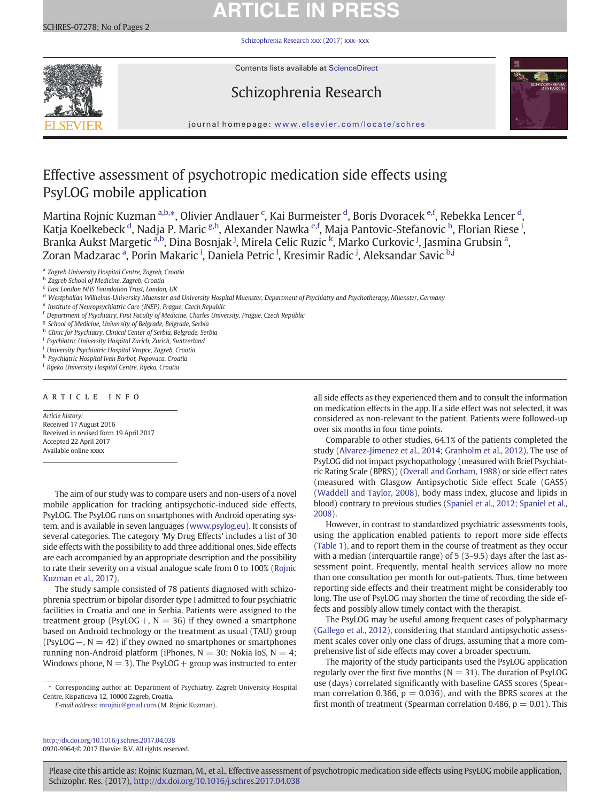# **ARTICLE IN PRESS**

[Schizophrenia Research xxx \(2017\) xxx](http://dx.doi.org/10.1016/j.schres.2017.04.038)–xxx



Contents lists available at ScienceDirect

# Schizophrenia Research



journal homepage: <www.elsevier.com/locate/schres>

# Effective assessment of psychotropic medication side effects using PsyLOG mobile application

Martina Rojnic Kuzman <sup>a,b,\*</sup>, Olivier Andlauer <sup>c</sup>, Kai Burmeister <sup>d</sup>, Boris Dvoracek <sup>e,f</sup>, Rebekka Lencer <sup>d</sup>, Katja Koelkebeck <sup>d</sup>, Nadja P. Maric <sup>g,h</sup>, Alexander Nawka <sup>e,f</sup>, Maja Pantovic-Stefanovic <sup>h</sup>, Florian Riese <sup>i</sup>, Branka Aukst Margetic <sup>a,b</sup>, Dina Bosnjak <sup>j</sup>, Mirela Celic Ruzic <sup>k</sup>, Marko Curkovic <sup>j</sup>, Jasmina Grubsin <sup>a</sup>, Zoran Madzarac <sup>a</sup>, Porin Makaric <sup>i</sup>, Daniela Petric <sup>I</sup>, Kresimir Radic <sup>j</sup>, Aleksandar Savic <sup>b.j</sup>

<sup>a</sup> Zagreb University Hospital Centre, Zagreb, Croatia

<sup>c</sup> East London NHS Foundation Trust, London, UK

<sup>e</sup> Institute of Neuropsychiatric Care (INEP), Prague, Czech Republic

- <sup>f</sup> Department of Psychiatry, First Faculty of Medicine, Charles University, Prague, Czech Republic
- <sup>g</sup> School of Medicine, University of Belgrade, Belgrade, Serbia
- h Clinic for Psychiatry, Clinical Center of Serbia, Belgrade, Serbia
- <sup>i</sup> Psychiatric University Hospital Zurich, Zurich, Switzerland
- <sup>j</sup> University Psychiatric Hospital Vrapce, Zagreb, Croatia
- <sup>k</sup> Psychiatric Hospital Ivan Barbot, Popovaca, Croatia
- <sup>1</sup> Rijeka University Hospital Centre, Rijeka, Croatia

# article info

Article history: Received 17 August 2016 Received in revised form 19 April 2017 Accepted 22 April 2017 Available online xxxx

The aim of our study was to compare users and non-users of a novel mobile application for tracking antipsychotic-induced side effects, PsyLOG. The PsyLOG runs on smartphones with Android operating system, and is available in seven languages ([www.psylog.eu\)](http://www.psylog.eu). It consists of several categories. The category 'My Drug Effects' includes a list of 30 side effects with the possibility to add three additional ones. Side effects are each accompanied by an appropriate description and the possibility to rate their severity on a visual analogue scale from 0 to 100% [\(Rojnic](#page-1-0) [Kuzman et al., 2017\)](#page-1-0).

The study sample consisted of 78 patients diagnosed with schizophrenia spectrum or bipolar disorder type I admitted to four psychiatric facilities in Croatia and one in Serbia. Patients were assigned to the treatment group (PsyLOG +,  $N = 36$ ) if they owned a smartphone based on Android technology or the treatment as usual (TAU) group (PsyLOG  $-$ , N = 42) if they owned no smartphones or smartphones running non-Android platform (iPhones,  $N = 30$ ; Nokia IoS,  $N = 4$ ; Windows phone,  $N = 3$ ). The PsyLOG + group was instructed to enter

E-mail address: [mrojnic@gmail.com](mailto:mrojnic@gmail.com) (M. Rojnic Kuzman).

all side effects as they experienced them and to consult the information on medication effects in the app. If a side effect was not selected, it was considered as non-relevant to the patient. Patients were followed-up over six months in four time points.

Comparable to other studies, 64.1% of the patients completed the study [\(Alvarez-Jimenez et al., 2014; Granholm et al., 2012\)](#page-1-0). The use of PsyLOG did not impact psychopathology (measured with Brief Psychiatric Rating Scale (BPRS)) [\(Overall and Gorham, 1988\)](#page-1-0) or side effect rates (measured with Glasgow Antipsychotic Side effect Scale (GASS) [\(Waddell and Taylor, 2008](#page-1-0)), body mass index, glucose and lipids in blood) contrary to previous studies [\(Spaniel et al., 2012; Spaniel et al.,](#page-1-0) [2008](#page-1-0)).

However, in contrast to standardized psychiatric assessments tools, using the application enabled patients to report more side effects [\(Table 1\)](#page-1-0), and to report them in the course of treatment as they occur with a median (interquartile range) of 5 (3–9.5) days after the last assessment point. Frequently, mental health services allow no more than one consultation per month for out-patients. Thus, time between reporting side effects and their treatment might be considerably too long. The use of PsyLOG may shorten the time of recording the side effects and possibly allow timely contact with the therapist.

The PsyLOG may be useful among frequent cases of polypharmacy [\(Gallego et al., 2012\)](#page-1-0), considering that standard antipsychotic assessment scales cover only one class of drugs, assuming that a more comprehensive list of side effects may cover a broader spectrum.

The majority of the study participants used the PsyLOG application regularly over the first five months ( $N = 31$ ). The duration of PsyLOG use (days) correlated significantly with baseline GASS scores (Spearman correlation 0.366,  $p = 0.036$ ), and with the BPRS scores at the first month of treatment (Spearman correlation 0.486,  $p = 0.01$ ). This

<http://dx.doi.org/10.1016/j.schres.2017.04.038> 0920-9964/© 2017 Elsevier B.V. All rights reserved.

Please cite this article as: Rojnic Kuzman, M., et al., Effective assessment of psychotropic medication side effects using PsyLOG mobile application, Schizophr. Res. (2017), <http://dx.doi.org/10.1016/j.schres.2017.04.038>

<sup>b</sup> Zagreb School of Medicine, Zagreb, Croatia

<sup>&</sup>lt;sup>d</sup> Westphalian Wilhelms-University Muenster and University Hospital Muenster, Department of Psychiatry and Psychotherapy, Muenster, Germany

<sup>⁎</sup> Corresponding author at: Department of Psychiatry, Zagreb University Hospital Centre, Kispaticeva 12, 10000 Zagreb, Croatia.